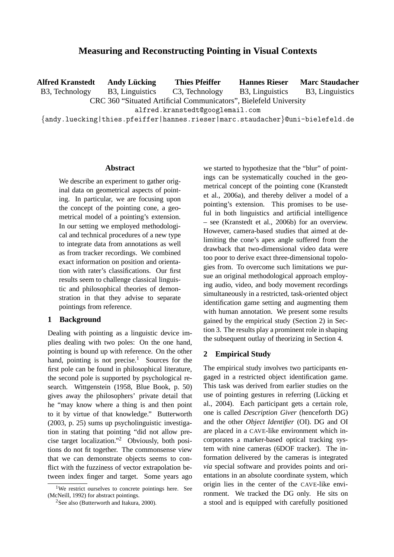# **Measuring and Reconstructing Pointing in Visual Contexts**

**Alfred Kranstedt** B3, Technology **Andy Lucking ¨** B3, Linguistics **Thies Pfeiffer** C3, Technology CRC 360 "Situated Artificial Communicators", Bielefeld University alfred.kranstedt@googlemail.com {andy.luecking|thies.pfeiffer|hannes.rieser|marc.staudacher}@uni-bielefeld.de **Hannes Rieser** B3, Linguistics **Marc Staudacher** B3, Linguistics

#### **Abstract**

We describe an experiment to gather original data on geometrical aspects of pointing. In particular, we are focusing upon the concept of the pointing cone, a geometrical model of a pointing's extension. In our setting we employed methodological and technical procedures of a new type to integrate data from annotations as well as from tracker recordings. We combined exact information on position and orientation with rater's classifications. Our first results seem to challenge classical linguistic and philosophical theories of demonstration in that they advise to separate pointings from reference.

## **1 Background**

Dealing with pointing as a linguistic device implies dealing with two poles: On the one hand, pointing is bound up with reference. On the other hand, pointing is not precise.<sup>1</sup> Sources for the first pole can be found in philosophical literature, the second pole is supported by psychological research. Wittgenstein (1958, Blue Book, p. 50) gives away the philosophers' private detail that he "may know where a thing is and then point to it by virtue of that knowledge." Butterworth (2003, p. 25) sums up psycholinguistic investigation in stating that pointing "did not allow precise target localization."<sup>2</sup> Obviously, both positions do not fit together. The commonsense view that we can demonstrate objects seems to conflict with the fuzziness of vector extrapolation between index finger and target. Some years ago

we started to hypothesize that the "blur" of pointings can be systematically couched in the geometrical concept of the pointing cone (Kranstedt et al., 2006a), and thereby deliver a model of a pointing's extension. This promises to be useful in both linguistics and artificial intelligence – see (Kranstedt et al., 2006b) for an overview. However, camera-based studies that aimed at delimiting the cone's apex angle suffered from the drawback that two-dimensional video data were too poor to derive exact three-dimensional topologies from. To overcome such limitations we pursue an original methodological approach employing audio, video, and body movement recordings simultaneously in a restricted, task-oriented object identification game setting and augmenting them with human annotation. We present some results gained by the empirical study (Section 2) in Section 3. The results play a prominent role in shaping the subsequent outlay of theorizing in Section 4.

## **2 Empirical Study**

The empirical study involves two participants engaged in a restricted object identification game. This task was derived from earlier studies on the use of pointing gestures in referring (Lücking et al., 2004). Each participant gets a certain role, one is called *Description Giver* (henceforth DG) and the other *Object Identifier* (OI). DG and OI are placed in a CAVE-like environment which incorporates a marker-based optical tracking system with nine cameras (6DOF tracker). The information delivered by the cameras is integrated *via* special software and provides points and orientations in an absolute coordinate system, which origin lies in the center of the CAVE-like environment. We tracked the DG only. He sits on a stool and is equipped with carefully positioned

<sup>&</sup>lt;sup>1</sup>We restrict ourselves to concrete pointings here. See (McNeill, 1992) for abstract pointings.

<sup>&</sup>lt;sup>2</sup>See also (Butterworth and Itakura, 2000).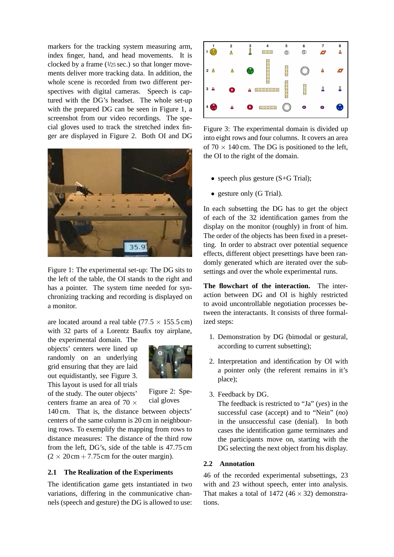markers for the tracking system measuring arm, index finger, hand, and head movements. It is clocked by a frame  $(1/25 \text{ sec.})$  so that longer movements deliver more tracking data. In addition, the whole scene is recorded from two different perspectives with digital cameras. Speech is captured with the DG's headset. The whole set-up with the prepared DG can be seen in Figure 1, a screenshot from our video recordings. The special gloves used to track the stretched index finger are displayed in Figure 2. Both OI and DG



Figure 1: The experimental set-up: The DG sits to the left of the table, the OI stands to the right and has a pointer. The system time needed for synchronizing tracking and recording is displayed on a monitor.

are located around a real table ( $77.5 \times 155.5$  cm) with 32 parts of a Lorentz Baufix toy airplane,

the experimental domain. The objects' centers were lined up randomly on an underlying grid ensuring that they are laid out equidistantly, see Figure 3. This layout is used for all trials of the study. The outer objects' centers frame an area of 70  $\times$ 



Figure 2: Special gloves

140 cm. That is, the distance between objects' centers of the same column is 20 cm in neighbouring rows. To exemplify the mapping from rows to distance measures: The distance of the third row from the left, DG's, side of the table is 47.75 cm  $(2 \times 20 \text{ cm} + 7.75 \text{ cm}$  for the outer margin).

#### **2.1 The Realization of the Experiments**

The identification game gets instantiated in two variations, differing in the communicative channels (speech and gesture) the DG is allowed to use:



Figure 3: The experimental domain is divided up into eight rows and four columns. It covers an area of  $70 \times 140$  cm. The DG is positioned to the left, the OI to the right of the domain.

- speech plus gesture (S+G Trial);
- gesture only (G Trial).

In each subsetting the DG has to get the object of each of the 32 identification games from the display on the monitor (roughly) in front of him. The order of the objects has been fixed in a presetting. In order to abstract over potential sequence effects, different object presettings have been randomly generated which are iterated over the subsettings and over the whole experimental runs.

**The flowchart of the interaction.** The interaction between DG and OI is highly restricted to avoid uncontrollable negotiation processes between the interactants. It consists of three formalized steps:

- 1. Demonstration by DG (bimodal or gestural, according to current subsetting);
- 2. Interpretation and identification by OI with a pointer only (the referent remains in it's place);
- 3. Feedback by DG.

The feedback is restricted to "Ja" (*yes*) in the successful case (accept) and to "Nein" (*no*) in the unsuccessful case (denial). In both cases the identification game terminates and the participants move on, starting with the DG selecting the next object from his display.

## **2.2 Annotation**

46 of the recorded experimental subsettings, 23 with and 23 without speech, enter into analysis. That makes a total of  $1472 (46 \times 32)$  demonstrations.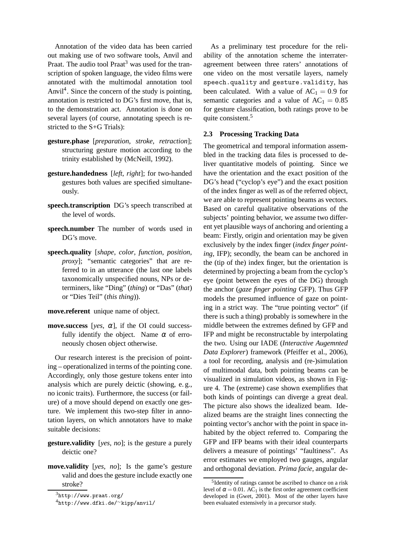Annotation of the video data has been carried out making use of two software tools, Anvil and Praat. The audio tool Praat<sup>3</sup> was used for the transcription of spoken language, the video films were annotated with the multimodal annotation tool Anvil<sup>4</sup>. Since the concern of the study is pointing, annotation is restricted to DG's first move, that is, to the demonstration act. Annotation is done on several layers (of course, annotating speech is restricted to the S+G Trials):

- **gesture.phase** [*preparation*, *stroke*, *retraction*]; structuring gesture motion according to the trinity established by (McNeill, 1992).
- **gesture.handedness** [*left*, *right*]; for two-handed gestures both values are specified simultaneously.
- **speech.transcription** DG's speech transcribed at the level of words.
- **speech.number** The number of words used in DG's move.
- **speech.quality** [*shape*, *color*, *function*, *position*, *proxy*]; "semantic categories" that are referred to in an utterance (the last one labels taxonomically unspecified nouns, NPs or determiners, like "Ding" (*thing*) or "Das" (*that*) or "Dies Teil" (*this thing*)).

**move.referent** unique name of object.

**move. success** [*yes*,  $\alpha$ ], if the OI could successfully identify the object. Name  $\alpha$  of erroneously chosen object otherwise.

Our research interest is the precision of pointing – operationalized in terms of the pointing cone. Accordingly, only those gesture tokens enter into analysis which are purely deictic (showing, e. g., no iconic traits). Furthermore, the success (or failure) of a move should depend on exactly one gesture. We implement this two-step filter in annotation layers, on which annotators have to make suitable decisions:

- **gesture.validity** [*yes*, *no*]; is the gesture a purely deictic one?
- **move.validity** [*yes*, *no*]; Is the game's gesture valid and does the gesture include exactly one stroke?

As a preliminary test procedure for the reliability of the annotation scheme the interrateragreement between three raters' annotations of one video on the most versatile layers, namely speech.quality and gesture.validity, has been calculated. With a value of  $AC_1 = 0.9$  for semantic categories and a value of  $AC_1 = 0.85$ for gesture classification, both ratings prove to be quite consistent.<sup>5</sup>

#### **2.3 Processing Tracking Data**

The geometrical and temporal information assembled in the tracking data files is processed to deliver quantitative models of pointing. Since we have the orientation and the exact position of the DG's head ("cyclop's eye") and the exact position of the index finger as well as of the referred object, we are able to represent pointing beams as vectors. Based on careful qualitative observations of the subjects' pointing behavior, we assume two different yet plausible ways of anchoring and orienting a beam: Firstly, origin and orientation may be given exclusively by the index finger (*index finger pointing*, IFP); secondly, the beam can be anchored in the (tip of the) index finger, but the orientation is determined by projecting a beam from the cyclop's eye (point between the eyes of the DG) through the anchor (*gaze finger pointing* GFP). Thus GFP models the presumed influence of gaze on pointing in a strict way. The "true pointing vector" (if there is such a thing) probably is somewhere in the middle between the extremes defined by GFP and IFP and might be reconstructable by interpolating the two. Using our IADE (*Interactive Augemnted Data Explorer*) framework (Pfeiffer et al., 2006), a tool for recording, analysis and (re-)simulation of multimodal data, both pointing beams can be visualized in simulation videos, as shown in Figure 4. The (extreme) case shown exemplifies that both kinds of pointings can diverge a great deal. The picture also shows the idealized beam. Idealized beams are the straight lines connecting the pointing vector's anchor with the point in space inhabited by the object referred to. Comparing the GFP and IFP beams with their ideal counterparts delivers a measure of pointings' "faultiness". As error estimates we employed two gauges, angular and orthogonal deviation. *Prima facie*, angular de-

 $3$ http://www.praat.org/

<sup>4</sup>http://www.dfki.de/∼kipp/anvil/

<sup>&</sup>lt;sup>5</sup>Identity of ratings cannot be ascribed to chance on a risk level of  $\alpha = 0.01$ . AC<sub>1</sub> is the first order agreement coefficient developed in (Gwet, 2001). Most of the other layers have been evaluated extensively in a precursor study.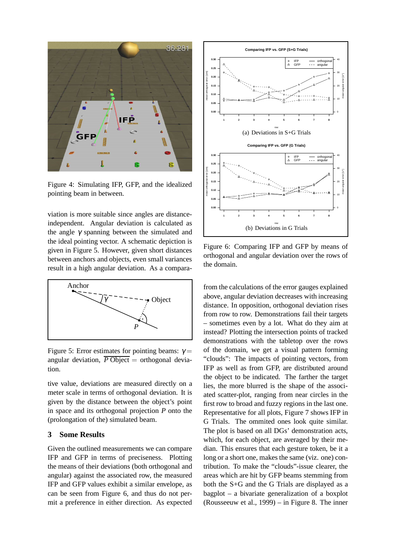

Figure 4: Simulating IFP, GFP, and the idealized pointing beam in between.

viation is more suitable since angles are distanceindependent. Angular deviation is calculated as the angle  $\gamma$  spanning between the simulated and the ideal pointing vector. A schematic depiction is given in Figure 5. However, given short distances between anchors and objects, even small variances result in a high angular deviation. As a compara-



Figure 5: Error estimates for pointing beams:  $\gamma =$ angular deviation,  $\overline{P}$  Object = orthogonal deviation.

tive value, deviations are measured directly on a meter scale in terms of orthogonal deviation. It is given by the distance between the object's point in space and its orthogonal projection *P* onto the (prolongation of the) simulated beam.

## **3 Some Results**

Given the outlined measurements we can compare IFP and GFP in terms of preciseness. Plotting the means of their deviations (both orthogonal and angular) against the associated row, the measured IFP and GFP values exhibit a similar envelope, as can be seen from Figure 6, and thus do not permit a preference in either direction. As expected



Figure 6: Comparing IFP and GFP by means of orthogonal and angular deviation over the rows of the domain.

from the calculations of the error gauges explained above, angular deviation decreases with increasing distance. In opposition, orthogonal deviation rises from row to row. Demonstrations fail their targets – sometimes even by a lot. What do they aim at instead? Plotting the intersection points of tracked demonstrations with the tabletop over the rows of the domain, we get a visual pattern forming "clouds": The impacts of pointing vectors, from IFP as well as from GFP, are distributed around the object to be indicated. The farther the target lies, the more blurred is the shape of the associated scatter-plot, ranging from near circles in the first row to broad and fuzzy regions in the last one. Representative for all plots, Figure 7 shows IFP in G Trials. The ommited ones look quite similar. The plot is based on all DGs' demonstration acts, which, for each object, are averaged by their median. This ensures that each gesture token, be it a long or a short one, makes the same (viz. one) contribution. To make the "clouds"-issue clearer, the areas which are hit by GFP beams stemming from both the S+G and the G Trials are displayed as a bagplot – a bivariate generalization of a boxplot (Rousseeuw et al., 1999) – in Figure 8. The inner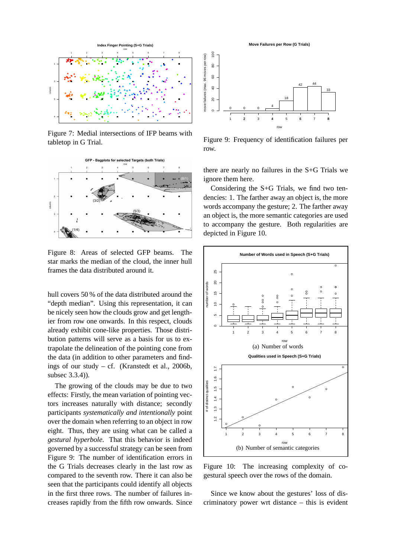

Figure 7: Medial intersections of IFP beams with tabletop in G Trial.



Figure 8: Areas of selected GFP beams. The star marks the median of the cloud, the inner hull frames the data distributed around it.

hull covers 50 % of the data distributed around the "depth median". Using this representation, it can be nicely seen how the clouds grow and get lengthier from row one onwards. In this respect, clouds already exhibit cone-like properties. Those distribution patterns will serve as a basis for us to extrapolate the delineation of the pointing cone from the data (in addition to other parameters and findings of our study – cf. (Kranstedt et al., 2006b, subsec 3.3.4)).

The growing of the clouds may be due to two effects: Firstly, the mean variation of pointing vectors increases naturally with distance; secondly participants *systematically and intentionally* point over the domain when referring to an object in row eight. Thus, they are using what can be called a *gestural hyperbole*. That this behavior is indeed governed by a successful strategy can be seen from Figure 9: The number of identification errors in the G Trials decreases clearly in the last row as compared to the seventh row. There it can also be seen that the participants could identify all objects in the first three rows. The number of failures increases rapidly from the fifth row onwards. Since

**Move Failures per Row (G Trials)**



Figure 9: Frequency of identification failures per row.

there are nearly no failures in the S+G Trials we ignore them here.

Considering the S+G Trials, we find two tendencies: 1. The farther away an object is, the more words accompany the gesture; 2. The farther away an object is, the more semantic categories are used to accompany the gesture. Both regularities are depicted in Figure 10.



Figure 10: The increasing complexity of cogestural speech over the rows of the domain.

Since we know about the gestures' loss of discriminatory power wrt distance – this is evident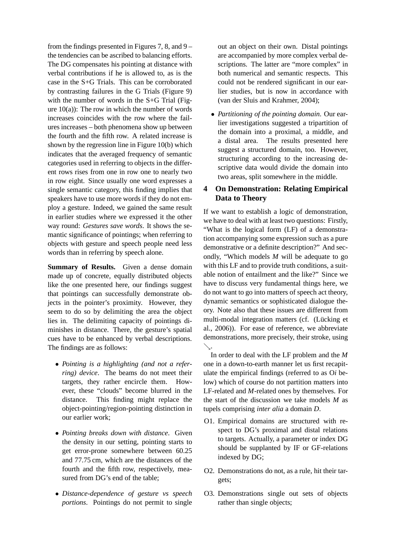from the findings presented in Figures 7, 8, and 9 – the tendencies can be ascribed to balancing efforts. The DG compensates his pointing at distance with verbal contributions if he is allowed to, as is the case in the S+G Trials. This can be corroborated by contrasting failures in the G Trials (Figure 9) with the number of words in the S+G Trial (Figure  $10(a)$ : The row in which the number of words increases coincides with the row where the failures increases – both phenomena show up between the fourth and the fifth row. A related increase is shown by the regression line in Figure 10(b) which indicates that the averaged frequency of semantic categories used in referring to objects in the different rows rises from one in row one to nearly two in row eight. Since usually one word expresses a single semantic category, this finding implies that speakers have to use more words if they do not employ a gesture. Indeed, we gained the same result in earlier studies where we expressed it the other way round: *Gestures save words*. It shows the semantic significance of pointings; when referring to objects with gesture and speech people need less words than in referring by speech alone.

**Summary of Results.** Given a dense domain made up of concrete, equally distributed objects like the one presented here, our findings suggest that pointings can successfully demonstrate objects in the pointer's proximity. However, they seem to do so by delimiting the area the object lies in. The delimiting capacity of pointings diminishes in distance. There, the gesture's spatial cues have to be enhanced by verbal descriptions. The findings are as follows:

- *Pointing is a highlighting (and not a referring) device*. The beams do not meet their targets, they rather encircle them. However, these "clouds" become blurred in the distance. This finding might replace the object-pointing/region-pointing distinction in our earlier work;
- *Pointing breaks down with distance*. Given the density in our setting, pointing starts to get error-prone somewhere between 60.25 and 77.75 cm, which are the distances of the fourth and the fifth row, respectively, measured from DG's end of the table;
- *Distance-dependence of gesture vs speech portions*. Pointings do not permit to single

out an object on their own. Distal pointings are accompanied by more complex verbal descriptions. The latter are "more complex" in both numerical and semantic respects. This could not be rendered significant in our earlier studies, but is now in accordance with (van der Sluis and Krahmer, 2004);

• *Partitioning of the pointing domain*. Our earlier investigations suggested a tripartition of the domain into a proximal, a middle, and a distal area. The results presented here suggest a structured domain, too. However, structuring according to the increasing descriptive data would divide the domain into two areas, split somewhere in the middle.

## **4 On Demonstration: Relating Empirical Data to Theory**

If we want to establish a logic of demonstration, we have to deal with at least two questions: Firstly, "What is the logical form (LF) of a demonstration accompanying some expression such as a pure demonstrative or a definite description?" And secondly, "Which models *M* will be adequate to go with this LF and to provide truth conditions, a suitable notion of entailment and the like?" Since we have to discuss very fundamental things here, we do not want to go into matters of speech act theory, dynamic semantics or sophisticated dialogue theory. Note also that these issues are different from multi-modal integration matters (cf. (Lücking et al., 2006)). For ease of reference, we abbreviate demonstrations, more precisely, their stroke, using  $\searrow$ 

In order to deal with the LF problem and the *M* one in a down-to-earth manner let us first recapitulate the empirical findings (referred to as O*i* below) which of course do not partition matters into LF-related and *M*-related ones by themselves. For the start of the discussion we take models *M* as tupels comprising *inter alia* a domain *D*.

- O1. Empirical domains are structured with respect to DG's proximal and distal relations to targets. Actually, a parameter or index DG should be supplanted by IF or GF-relations indexed by DG;
- O2. Demonstrations do not, as a rule, hit their targets;
- O3. Demonstrations single out sets of objects rather than single objects;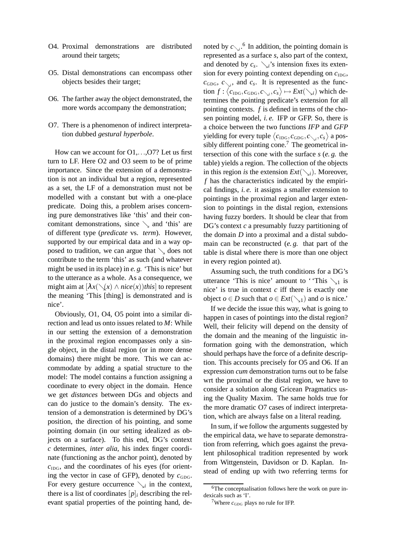- O4. Proximal demonstrations are distributed around their targets;
- O5. Distal demonstrations can encompass other objects besides their target;
- O6. The farther away the object demonstrated, the more words accompany the demonstration;
- O7. There is a phenomenon of indirect interpretation dubbed *gestural hyperbole*.

How can we account for O1,...,O7? Let us first turn to LF. Here O2 and O3 seem to be of prime importance. Since the extension of a demonstration is not an individual but a region, represented as a set, the LF of a demonstration must not be modelled with a constant but with a one-place predicate. Doing this, a problem arises concerning pure demonstratives like 'this' and their concomitant demonstrations, since  $\setminus$  and 'this' are of different type (*predicate* vs. *term*). However, supported by our empirical data and in a way opposed to tradition, we can argue that  $\setminus$  does not contribute to the term 'this' as such (and whatever might be used in its place) in *e. g.* 'This is nice' but to the utterance as a whole. As a consequence, we might aim at  $[\lambda x(\diagdown(x) \land nice(x))$ *this* to represent the meaning 'This [thing] is demonstrated and is nice'.

Obviously, O1, O4, O5 point into a similar direction and lead us onto issues related to *M*: While in our setting the extension of a demonstration in the proximal region encompasses only a single object, in the distal region (or in more dense domains) there might be more. This we can accommodate by adding a spatial structure to the model: The model contains a function assigning a coordinate to every object in the domain. Hence we get *distances* between DGs and objects and can do justice to the domain's density. The extension of a demonstration is determined by DG's position, the direction of his pointing, and some pointing domain (in our setting idealized as objects on a surface). To this end, DG's context *c* determines, *inter alia*, his index finger coordinate (functioning as the anchor point), denoted by  $c<sub>IDG</sub>$ , and the coordinates of his eyes (for orienting the vector in case of GFP), denoted by  $c_{GDG}$ . For every gesture occurrence  $\searrow$  in the context, there is a list of coordinates  $[p]_i$  describing the relevant spatial properties of the pointing hand, de-

noted by  $c_{\gamma_i}$ <sup>6</sup>. In addition, the pointing domain is represented as a surface *s*, also part of the context, and denoted by  $c_s$ .  $\searrow_i$ 's intension fixes its extension for every pointing context depending on  $c_{\text{IDG}}$ ,  $c_{\text{GDG}}$ ,  $c_{\searrow i}$ , and  $c_s$ . It is represented as the function  $f: \langle c_{\text{IDG}}, c_{\text{GDG}}, c_{\searrow i}, c_s \rangle \mapsto Ext(\searrow_i)$  which determines the pointing predicate's extension for all pointing contexts. *f* is defined in terms of the chosen pointing model, *i. e.* IFP or GFP. So, there is a choice between the two functions *IFP* and *GFP* yielding for every tuple  $\langle c_{\text{IDG}}, c_{\text{GDG}}, c_{\searrow i}, c_s \rangle$  a possibly different pointing cone.<sup>7</sup> The geometrical intersection of this cone with the surface *s* (*e. g.* the table) yields a region. The collection of the objects in this region *is* the extension  $Ext(\nabla_i)$ . Moreover, *f* has the characteristics indicated by the empirical findings, *i. e.* it assigns a smaller extension to pointings in the proximal region and larger extension to pointings in the distal region, extensions having fuzzy borders. It should be clear that from DG's context *c* a presumably fuzzy partitioning of the domain *D* into a proximal and a distal subdomain can be reconstructed (*e. g.* that part of the table is distal where there is more than one object in every region pointed at).

Assuming such, the truth conditions for a DG's utterance 'This is nice' amount to ' 'This  $\searrow$ <sub>1</sub> is nice' is true in context *c* iff there is exactly one object *o*  $\in$  *D* such that *o*  $\in$  *Ext*( $\setminus$ <sub>1</sub>) and *o* is nice.'

If we decide the issue this way, what is going to happen in cases of pointings into the distal region? Well, their felicity will depend on the density of the domain and the meaning of the linguistic information going with the demonstration, which should perhaps have the force of a definite description. This accounts precisely for O5 and O6. If an expression *cum* demonstration turns out to be false wrt the proximal or the distal region, we have to consider a solution along Gricean Pragmatics using the Quality Maxim. The same holds true for the more dramatic O7 cases of indirect interpretation, which are always false on a literal reading.

In sum, if we follow the arguments suggested by the empirical data, we have to separate demonstration from referring, which goes against the prevalent philosophical tradition represented by work from Wittgenstein, Davidson or D. Kaplan. Instead of ending up with two referring terms for

<sup>&</sup>lt;sup>6</sup>The conceptualisation follows here the work on pure indexicals such as 'I'.

<sup>&</sup>lt;sup>7</sup>Where  $c_{GDG}$  plays no rule for IFP.